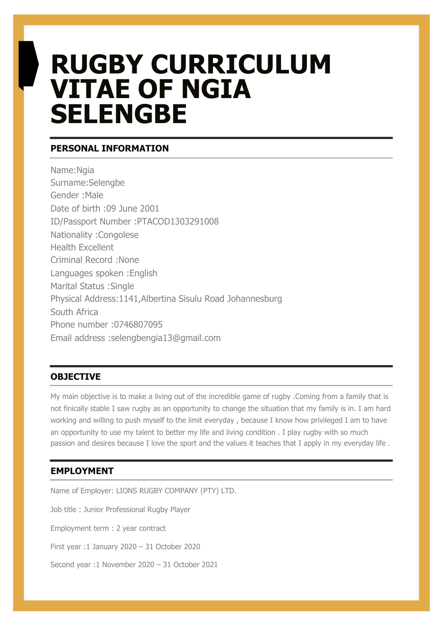# **RUGBY CURRICULUM VITAE OF NGIA SELENGBE**

### **PERSONAL INFORMATION**

Name:Ngia Surname:Selengbe Gender :Male Date of birth :09 June 2001 ID/Passport Number :PTACOD1303291008 Nationality :Congolese Health Excellent Criminal Record :None Languages spoken :English Marital Status :Single Physical Address:1141,Albertina Sisulu Road Johannesburg South Africa Phone number :0746807095 Email address :selengbengia13@gmail.com

## **OBJECTIVE**

My main objective is to make a living out of the incredible game of rugby .Coming from a family that is not finically stable I saw rugby as an opportunity to change the situation that my family is in. I am hard working and willing to push myself to the limit everyday , because I know how privileged I am to have an opportunity to use my talent to better my life and living condition . I play rugby with so much passion and desires because I love the sport and the values it teaches that I apply in my everyday life .

# **EMPLOYMENT**

Name of Employer: LIONS RUGBY COMPANY (PTY) LTD. Job title : Junior Professional Rugby Player Employment term : 2 year contract First year :1 January 2020 – 31 October 2020 Second year :1 November 2020 – 31 October 2021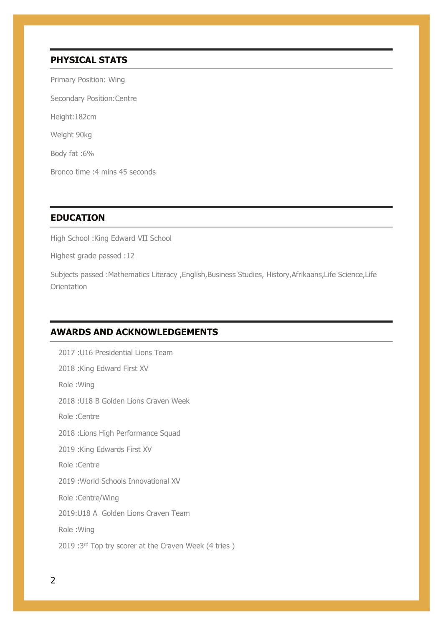#### **PHYSICAL STATS**

Primary Position: Wing Secondary Position:Centre Height:182cm Weight 90kg Body fat :6% Bronco time :4 mins 45 seconds

#### **EDUCATION**

High School :King Edward VII School

Highest grade passed :12

Subjects passed :Mathematics Literacy ,English,Business Studies, History,Afrikaans,Life Science,Life **Orientation** 

#### **AWARDS AND ACKNOWLEDGEMENTS**

2017 :U16 Presidential Lions Team 2018 :King Edward First XV Role :Wing 2018 :U18 B Golden Lions Craven Week Role :Centre 2018 :Lions High Performance Squad 2019 :King Edwards First XV Role :Centre 2019 :World Schools Innovational XV Role :Centre/Wing 2019:U18 A Golden Lions Craven Team Role :Wing 2019 :3rd Top try scorer at the Craven Week (4 tries)